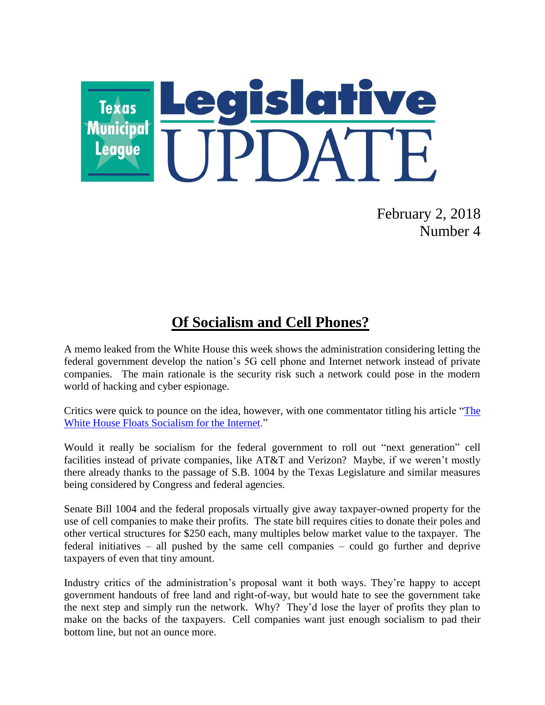

February 2, 2018 Number 4

## **Of Socialism and Cell Phones?**

A memo leaked from the White House this week shows the administration considering letting the federal government develop the nation's 5G cell phone and Internet network instead of private companies. The main rationale is the security risk such a network could pose in the modern world of hacking and cyber espionage.

Critics were quick to pounce on the idea, however, with one commentator titling his article "The [White House Floats Socialism for the Internet.](http://www.nationalreview.com/article/455921/trump-administration-government-run-5g-network-plan-sparks-backlash-industry-fcc)"

Would it really be socialism for the federal government to roll out "next generation" cell facilities instead of private companies, like AT&T and Verizon? Maybe, if we weren't mostly there already thanks to the passage of S.B. 1004 by the Texas Legislature and similar measures being considered by Congress and federal agencies.

Senate Bill 1004 and the federal proposals virtually give away taxpayer-owned property for the use of cell companies to make their profits. The state bill requires cities to donate their poles and other vertical structures for \$250 each, many multiples below market value to the taxpayer. The federal initiatives – all pushed by the same cell companies – could go further and deprive taxpayers of even that tiny amount.

Industry critics of the administration's proposal want it both ways. They're happy to accept government handouts of free land and right-of-way, but would hate to see the government take the next step and simply run the network. Why? They'd lose the layer of profits they plan to make on the backs of the taxpayers. Cell companies want just enough socialism to pad their bottom line, but not an ounce more.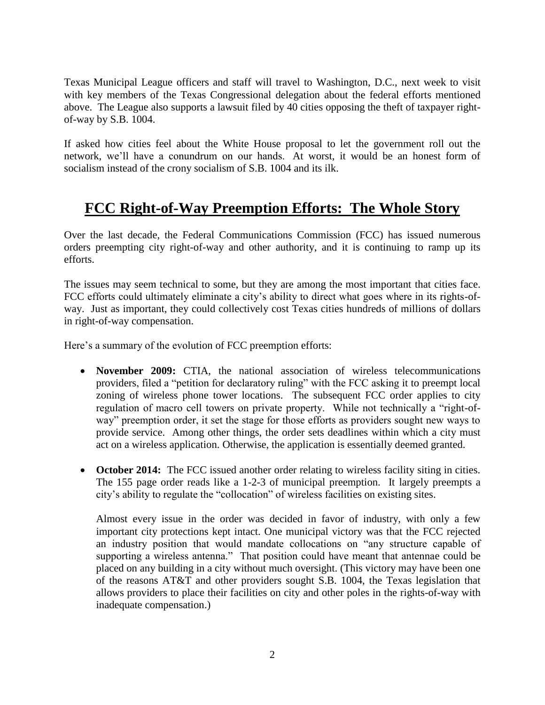Texas Municipal League officers and staff will travel to Washington, D.C., next week to visit with key members of the Texas Congressional delegation about the federal efforts mentioned above. The League also supports a lawsuit filed by 40 cities opposing the theft of taxpayer rightof-way by S.B. 1004.

If asked how cities feel about the White House proposal to let the government roll out the network, we'll have a conundrum on our hands. At worst, it would be an honest form of socialism instead of the crony socialism of S.B. 1004 and its ilk.

## **FCC Right-of-Way Preemption Efforts: The Whole Story**

Over the last decade, the Federal Communications Commission (FCC) has issued numerous orders preempting city right-of-way and other authority, and it is continuing to ramp up its efforts.

The issues may seem technical to some, but they are among the most important that cities face. FCC efforts could ultimately eliminate a city's ability to direct what goes where in its rights-ofway. Just as important, they could collectively cost Texas cities hundreds of millions of dollars in right-of-way compensation.

Here's a summary of the evolution of FCC preemption efforts:

- **November 2009:** CTIA, the national association of wireless telecommunications providers, filed a "petition for declaratory ruling" with the FCC asking it to preempt local zoning of wireless phone tower locations. The subsequent FCC order applies to city regulation of macro cell towers on private property. While not technically a "right-ofway" preemption order, it set the stage for those efforts as providers sought new ways to provide service. Among other things, the order sets deadlines within which a city must act on a wireless application. Otherwise, the application is essentially deemed granted.
- October 2014: The FCC issued another order relating to wireless facility siting in cities. The 155 page order reads like a 1-2-3 of municipal preemption. It largely preempts a city's ability to regulate the "collocation" of wireless facilities on existing sites.

Almost every issue in the order was decided in favor of industry, with only a few important city protections kept intact. One municipal victory was that the FCC rejected an industry position that would mandate collocations on "any structure capable of supporting a wireless antenna." That position could have meant that antennae could be placed on any building in a city without much oversight. (This victory may have been one of the reasons AT&T and other providers sought S.B. 1004, the Texas legislation that allows providers to place their facilities on city and other poles in the rights-of-way with inadequate compensation.)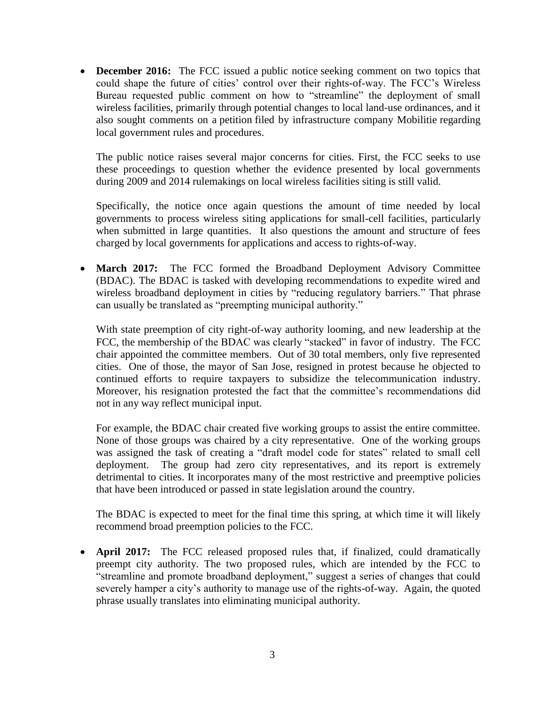**December 2016:** The FCC issued a public notice seeking comment on two topics that could shape the future of cities' control over their rights-of-way. The FCC's Wireless Bureau requested public comment on how to "streamline" the deployment of small wireless facilities, primarily through potential changes to local land-use ordinances, and it also sought comments on a petition filed by infrastructure company Mobilitie regarding local government rules and procedures.

The public notice raises several major concerns for cities. First, the FCC seeks to use these proceedings to question whether the evidence presented by local governments during 2009 and 2014 rulemakings on local wireless facilities siting is still valid.

Specifically, the notice once again questions the amount of time needed by local governments to process wireless siting applications for small-cell facilities, particularly when submitted in large quantities. It also questions the amount and structure of fees charged by local governments for applications and access to rights-of-way.

 **March 2017:** The FCC formed the Broadband Deployment Advisory Committee (BDAC). The BDAC is tasked with developing recommendations to expedite wired and wireless broadband deployment in cities by "reducing regulatory barriers." That phrase can usually be translated as "preempting municipal authority."

With state preemption of city right-of-way authority looming, and new leadership at the FCC, the membership of the BDAC was clearly "stacked" in favor of industry. The FCC chair appointed the committee members. Out of 30 total members, only five represented cities. One of those, the mayor of San Jose, resigned in protest because he objected to continued efforts to require taxpayers to subsidize the telecommunication industry. Moreover, his resignation protested the fact that the committee's recommendations did not in any way reflect municipal input.

For example, the BDAC chair created five working groups to assist the entire committee. None of those groups was chaired by a city representative. One of the working groups was assigned the task of creating a "draft model code for states" related to small cell deployment. The group had zero city representatives, and its report is extremely detrimental to cities. It incorporates many of the most restrictive and preemptive policies that have been introduced or passed in state legislation around the country.

The BDAC is expected to meet for the final time this spring, at which time it will likely recommend broad preemption policies to the FCC.

• **April 2017:** The FCC released proposed rules that, if finalized, could dramatically preempt city authority. The two proposed rules, which are intended by the FCC to "streamline and promote broadband deployment," suggest a series of changes that could severely hamper a city's authority to manage use of the rights-of-way. Again, the quoted phrase usually translates into eliminating municipal authority.